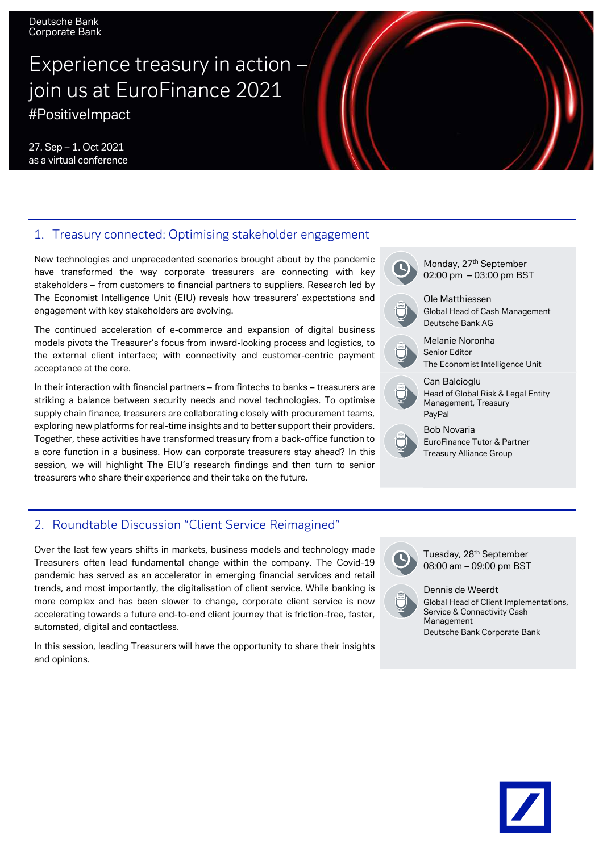Deutsche Bank Corporate Bank

# Experience treasury in action  $$ join us at EuroFinance 2021 #PositiveImpact

27. Sep – 1. Oct 2021 as a virtual conference

#### 1. Treasury connected: Optimising stakeholder engagement

New technologies and unprecedented scenarios brought about by the pandemic have transformed the way corporate treasurers are connecting with key stakeholders – from customers to financial partners to suppliers. Research led by The Economist Intelligence Unit (EIU) reveals how treasurers' expectations and engagement with key stakeholders are evolving.

The continued acceleration of e-commerce and expansion of digital business models pivots the Treasurer's focus from inward-looking process and logistics, to the external client interface; with connectivity and customer-centric payment acceptance at the core.

In their interaction with financial partners – from fintechs to banks – treasurers are striking a balance between security needs and novel technologies. To optimise supply chain finance, treasurers are collaborating closely with procurement teams, exploring new platforms for real-time insights and to better support their providers. Together, these activities have transformed treasury from a back-office function to a core function in a business. How can corporate treasurers stay ahead? In this session, we will highlight The EIU's research findings and then turn to senior treasurers who share their experience and their take on the future.



#### 2. Roundtable Discussion "Client Service Reimagined"

Over the last few years shifts in markets, business models and technology made Treasurers often lead fundamental change within the company. The Covid-19 pandemic has served as an accelerator in emerging financial services and retail trends, and most importantly, the digitalisation of client service. While banking is more complex and has been slower to change, corporate client service is now accelerating towards a future end-to-end client journey that is friction-free, faster, automated, digital and contactless.

In this session, leading Treasurers will have the opportunity to share their insights and opinions.



Tuesday, 28<sup>th</sup> September 08:00 am – 09:00 pm BST



Dennis de Weerdt Global Head of Client Implementations, Service & Connectivity Cash Management Deutsche Bank Corporate Bank

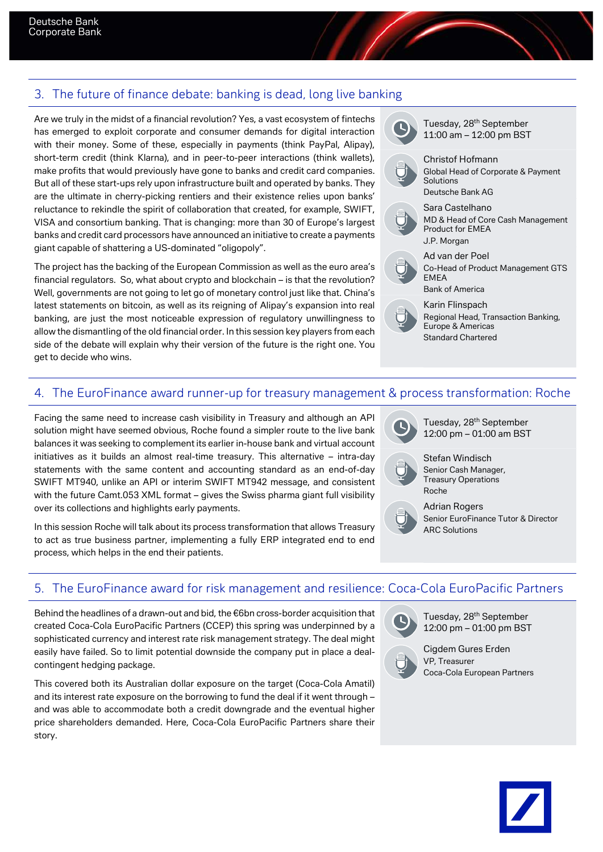#### 3. The future of finance debate: banking is dead, long live banking

Are we truly in the midst of a financial revolution? Yes, a vast ecosystem of fintechs has emerged to exploit corporate and consumer demands for digital interaction with their money. Some of these, especially in payments (think PayPal, Alipay), short-term credit (think Klarna), and in peer-to-peer interactions (think wallets), make profits that would previously have gone to banks and credit card companies. But all of these start-ups rely upon infrastructure built and operated by banks. They are the ultimate in cherry-picking rentiers and their existence relies upon banks' reluctance to rekindle the spirit of collaboration that created, for example, SWIFT, VISA and consortium banking. That is changing: more than 30 of Europe's largest banks and credit card processors have announced an initiative to create a payments giant capable of shattering a US-dominated "oligopoly".

The project has the backing of the European Commission as well as the euro area's financial regulators. So, what about crypto and blockchain – is that the revolution? Well, governments are not going to let go of monetary control just like that. China's latest statements on bitcoin, as well as its reigning of Alipay's expansion into real banking, are just the most noticeable expression of regulatory unwillingness to allow the dismantling of the old financial order. In this session key players from each side of the debate will explain why their version of the future is the right one. You get to decide who wins.



11:00 am – 12:00 pm BST



Global Head of Corporate & Payment



Ad van der Poel



Co-Head of Product Management GTS EMEA Bank of America

Karin Flinspach

Regional Head, Transaction Banking, Europe & Americas Standard Chartered

## 4. The EuroFinance award runner-up for treasury management & process transformation: Roche

Facing the same need to increase cash visibility in Treasury and although an API solution might have seemed obvious, Roche found a simpler route to the live bank balances it was seeking to complement its earlier in-house bank and virtual account initiatives as it builds an almost real-time treasury. This alternative – intra-day statements with the same content and accounting standard as an end-of-day SWIFT MT940, unlike an API or interim SWIFT MT942 message, and consistent with the future Camt.053 XML format – gives the Swiss pharma giant full visibility over its collections and highlights early payments.

In this session Roche will talk about its process transformation that allows Treasury to act as true business partner, implementing a fully ERP integrated end to end process, which helps in the end their patients.



Stefan Windisch Senior Cash Manager, Treasury Operations Roche



Adrian Rogers Senior EuroFinance Tutor & Director ARC Solutions

#### 5. The EuroFinance award for risk management and resilience: Coca-Cola EuroPacific Partners

Behind the headlines of a drawn-out and bid, the  $€6$ bn cross-border acquisition that created Coca-Cola EuroPacific Partners (CCEP) this spring was underpinned by a sophisticated currency and interest rate risk management strategy. The deal might easily have failed. So to limit potential downside the company put in place a dealcontingent hedging package.

This covered both its Australian dollar exposure on the target (Coca-Cola Amatil) and its interest rate exposure on the borrowing to fund the deal if it went through – and was able to accommodate both a credit downgrade and the eventual higher price shareholders demanded. Here, Coca-Cola EuroPacific Partners share their story.



Tuesday, 28th September 12:00 pm – 01:00 pm BST



Cigdem Gures Erden VP, Treasurer Coca-Cola European Partners

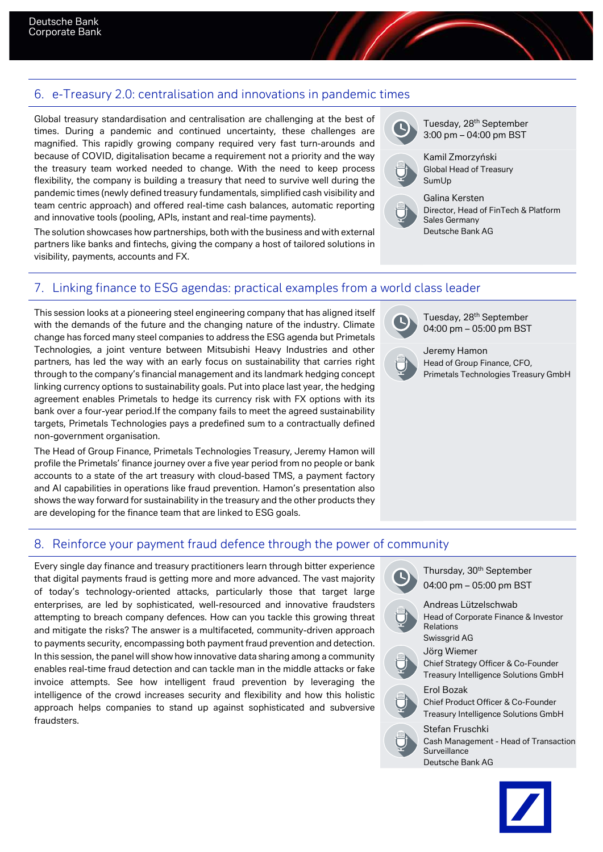#### 6. e-Treasury 2.0: centralisation and innovations in pandemic times

Global treasury standardisation and centralisation are challenging at the best of times. During a pandemic and continued uncertainty, these challenges are magnified. This rapidly growing company required very fast turn-arounds and because of COVID, digitalisation became a requirement not a priority and the way the treasury team worked needed to change. With the need to keep process flexibility, the company is building a treasury that need to survive well during the pandemic times (newly defined treasury fundamentals, simplified cash visibility and team centric approach) and offered real-time cash balances, automatic reporting and innovative tools (pooling, APIs, instant and real-time payments).

The solution showcases how partnerships, both with the business and with external partners like banks and fintechs, giving the company a host of tailored solutions in visibility, payments, accounts and FX.

### 7. Linking finance to ESG agendas: practical examples from a world class leader

This session looks at a pioneering steel engineering company that has aligned itself with the demands of the future and the changing nature of the industry. Climate change has forced many steel companies to address the ESG agenda but Primetals Technologies, a joint venture between Mitsubishi Heavy Industries and other partners, has led the way with an early focus on sustainability that carries right through to the company's financial management and its landmark hedging concept linking currency options to sustainability goals. Put into place last year, the hedging agreement enables Primetals to hedge its currency risk with FX options with its bank over a four-year period.If the company fails to meet the agreed sustainability targets, Primetals Technologies pays a predefined sum to a contractually defined non-government organisation.

The Head of Group Finance, Primetals Technologies Treasury, Jeremy Hamon will profile the Primetals' finance journey over a five year period from no people or bank accounts to a state of the art treasury with cloud-based TMS, a payment factory and AI capabilities in operations like fraud prevention. Hamon's presentation also shows the way forward for sustainability in the treasury and the other products they are developing for the finance team that are linked to ESG goals.

Tuesday, 28th September 3:00 pm – 04:00 pm BST

Kamil Zmorzyński Global Head of Treasury SumUp



Galina Kersten Director, Head of FinTech & Platform Sales Germany Deutsche Bank AG

Tuesday, 28<sup>th</sup> September 04:00 pm – 05:00 pm BST



Jeremy Hamon Head of Group Finance, CFO, Primetals Technologies Treasury GmbH

#### 8. Reinforce your payment fraud defence through the power of community

Every single day finance and treasury practitioners learn through bitter experience that digital payments fraud is getting more and more advanced. The vast majority of today's technology-oriented attacks, particularly those that target large enterprises, are led by sophisticated, well-resourced and innovative fraudsters attempting to breach company defences. How can you tackle this growing threat and mitigate the risks? The answer is a multifaceted, community-driven approach to payments security, encompassing both payment fraud prevention and detection. In this session, the panel will show how innovative data sharing among a community enables real-time fraud detection and can tackle man in the middle attacks or fake invoice attempts. See how intelligent fraud prevention by leveraging the intelligence of the crowd increases security and flexibility and how this holistic approach helps companies to stand up against sophisticated and subversive fraudsters.